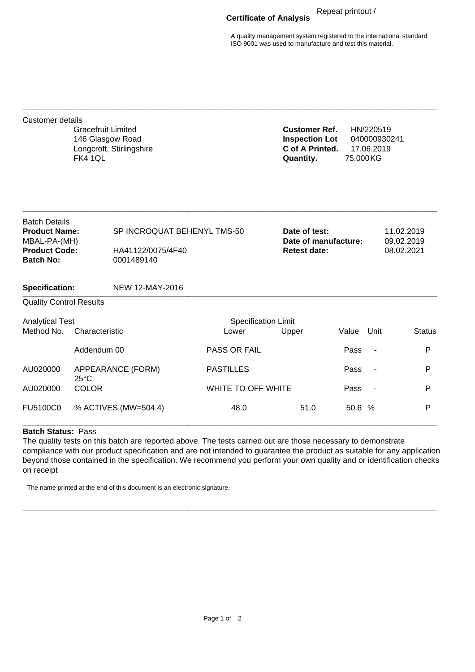## **Certificate of Analysis** Repeat printout /

A quality management system registered to the international standard ISO 9001 was used to manufacture and test this material.

| <b>Customer details</b>                                                                                  | <b>Gracefruit Limited</b><br>146 Glasgow Road<br><b>FK4 1QL</b> | Longcroft, Stirlingshire                                       |                                     | <b>Customer Ref.</b><br><b>Inspection Lot</b><br>C of A Printed.<br>Quantity. | 75.000KG | HN/220519<br>040000930241<br>17.06.2019 |                                        |  |
|----------------------------------------------------------------------------------------------------------|-----------------------------------------------------------------|----------------------------------------------------------------|-------------------------------------|-------------------------------------------------------------------------------|----------|-----------------------------------------|----------------------------------------|--|
| <b>Batch Details</b><br><b>Product Name:</b><br>MBAL-PA-(MH)<br><b>Product Code:</b><br><b>Batch No:</b> |                                                                 | SP INCROQUAT BEHENYL TMS-50<br>HA41122/0075/4F40<br>0001489140 |                                     | Date of test:<br>Date of manufacture:<br><b>Retest date:</b>                  |          |                                         | 11.02.2019<br>09.02.2019<br>08.02.2021 |  |
| <b>Specification:</b>                                                                                    |                                                                 | <b>NEW 12-MAY-2016</b>                                         |                                     |                                                                               |          |                                         |                                        |  |
| <b>Quality Control Results</b>                                                                           |                                                                 |                                                                |                                     |                                                                               |          |                                         |                                        |  |
| <b>Analytical Test</b><br>Method No.<br>Characteristic                                                   |                                                                 |                                                                | <b>Specification Limit</b><br>Lower | Upper                                                                         | Value    | Unit                                    | <b>Status</b>                          |  |
|                                                                                                          | Addendum 00                                                     |                                                                | <b>PASS OR FAIL</b>                 |                                                                               | Pass     | $\overline{\phantom{a}}$                | P                                      |  |
| AU020000                                                                                                 | APPEARANCE (FORM)<br>$25^{\circ}$ C                             |                                                                | <b>PASTILLES</b>                    |                                                                               | Pass     |                                         | P                                      |  |
| AU020000                                                                                                 | <b>COLOR</b>                                                    |                                                                | WHITE TO OFF WHITE                  |                                                                               | Pass     |                                         | P                                      |  |
| FU5100C0                                                                                                 |                                                                 | % ACTIVES (MW=504.4)                                           | 48.0                                | 51.0                                                                          | 50.6 %   |                                         | P                                      |  |

**\_\_\_\_\_\_\_\_\_\_\_\_\_\_\_\_\_\_\_\_\_\_\_\_\_\_\_\_\_\_\_\_\_\_\_\_\_\_\_\_\_\_\_\_\_\_\_\_\_\_\_\_\_\_\_\_\_\_\_\_\_\_\_\_\_\_\_\_\_\_\_\_\_\_\_\_\_\_**

## **Batch Status:** Pass

The quality tests on this batch are reported above. The tests carried out are those necessary to demonstrate compliance with our product specification and are not intended to guarantee the product as suitable for any application beyond those contained in the specification. We recommend you perform your own quality and or identification checks on receipt

**\_\_\_\_\_\_\_\_\_\_\_\_\_\_\_\_\_\_\_\_\_\_\_\_\_\_\_\_\_\_\_\_\_\_\_\_\_\_\_\_\_\_\_\_\_\_\_\_\_\_\_\_\_\_\_\_\_\_\_\_\_\_\_\_\_\_\_\_\_\_\_\_\_\_\_\_\_\_**

The name printed at the end of this document is an electronic signature.